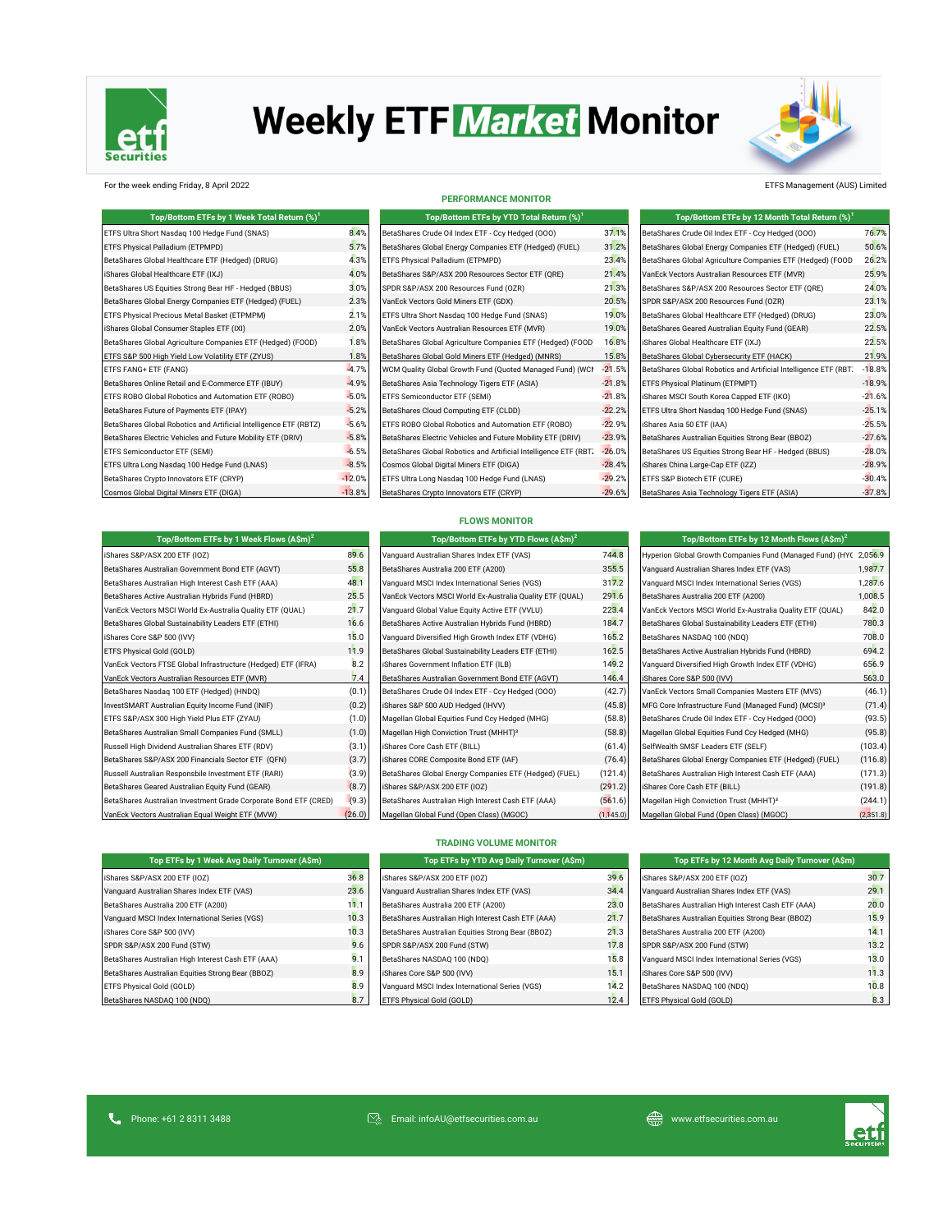

# **Weekly ETF Market Monitor**



### For the week ending Friday, 8 April 2022 ETFS Management (AUS) Limited

| Top/Bottom ETFs by 1 Week Total Return (%) <sup>1</sup>           |          | Top/Bottom ETFs by YTD Total Return (%) <sup>1</sup>             |          | Top/Bottom ETFs by 12 Month Total Return (%) <sup>1</sup>        |          |
|-------------------------------------------------------------------|----------|------------------------------------------------------------------|----------|------------------------------------------------------------------|----------|
| ETFS Ultra Short Nasdag 100 Hedge Fund (SNAS)                     | 8.4%     | BetaShares Crude Oil Index ETF - Ccy Hedged (000)                | 37.1%    | BetaShares Crude Oil Index ETF - Ccy Hedged (000)                | 76.7%    |
| ETFS Physical Palladium (ETPMPD)                                  | 5.7%     | BetaShares Global Energy Companies ETF (Hedged) (FUEL)           | 31.2%    | BetaShares Global Energy Companies ETF (Hedged) (FUEL)           | 50.6%    |
| BetaShares Global Healthcare ETF (Hedged) (DRUG)                  | 4.3%     | ETFS Physical Palladium (ETPMPD)                                 | 23.4%    | BetaShares Global Agriculture Companies ETF (Hedged) (FOOD       | 26.2%    |
| iShares Global Healthcare ETF (IXJ)                               | 4.0%     | BetaShares S&P/ASX 200 Resources Sector ETF (QRE)                | 21.4%    | VanEck Vectors Australian Resources ETF (MVR)                    | 25.9%    |
| BetaShares US Equities Strong Bear HF - Hedged (BBUS)             | 3.0%     | SPDR S&P/ASX 200 Resources Fund (OZR)                            | 21.3%    | BetaShares S&P/ASX 200 Resources Sector ETF (QRE)                | 24.0%    |
| BetaShares Global Energy Companies ETF (Hedged) (FUEL)            | 2.3%     | VanEck Vectors Gold Miners ETF (GDX)                             | 20.5%    | SPDR S&P/ASX 200 Resources Fund (OZR)                            | 23.1%    |
| ETFS Physical Precious Metal Basket (ETPMPM)                      | 2.1%     | ETFS Ultra Short Nasdag 100 Hedge Fund (SNAS)                    | 19.0%    | BetaShares Global Healthcare ETF (Hedged) (DRUG)                 | 23.0%    |
| iShares Global Consumer Staples ETF (IXI)                         | 2.0%     | VanEck Vectors Australian Resources ETF (MVR)                    | 19.0%    | BetaShares Geared Australian Equity Fund (GEAR)                  | 22.5%    |
| BetaShares Global Agriculture Companies ETF (Hedged) (FOOD)       | 1.8%     | BetaShares Global Agriculture Companies ETF (Hedged) (FOOD       | 16.8%    | iShares Global Healthcare ETF (IXJ)                              | 22.5%    |
| ETFS S&P 500 High Yield Low Volatility ETF (ZYUS)                 | 1.8%     | BetaShares Global Gold Miners ETF (Hedged) (MNRS)                | 15.8%    | BetaShares Global Cybersecurity ETF (HACK)                       | 21.9%    |
| ETFS FANG+ ETF (FANG)                                             | $-4.7%$  | WCM Quality Global Growth Fund (Quoted Managed Fund) (WCI        | $-21.5%$ | BetaShares Global Robotics and Artificial Intelligence ETF (RBT. | $-18.8%$ |
| BetaShares Online Retail and E-Commerce ETF (IBUY)                | $-4.9%$  | BetaShares Asia Technology Tigers ETF (ASIA)                     | $-21.8%$ | ETFS Physical Platinum (ETPMPT)                                  | $-18.9%$ |
| ETFS ROBO Global Robotics and Automation ETF (ROBO)               | $-5.0%$  | ETFS Semiconductor ETF (SEMI)                                    | $-21.8%$ | iShares MSCI South Korea Capped ETF (IKO)                        | $-21.6%$ |
| BetaShares Future of Payments ETF (IPAY)                          | $-5.2%$  | BetaShares Cloud Computing ETF (CLDD)                            | $-22.2%$ | ETFS Ultra Short Nasdaq 100 Hedge Fund (SNAS)                    | $-25.1%$ |
| BetaShares Global Robotics and Artificial Intelligence ETF (RBTZ) | $-5.6%$  | ETFS ROBO Global Robotics and Automation ETF (ROBO)              | $-22.9%$ | iShares Asia 50 ETF (IAA)                                        | $-25.5%$ |
| BetaShares Electric Vehicles and Future Mobility ETF (DRIV)       | $-5.8%$  | BetaShares Electric Vehicles and Future Mobility ETF (DRIV)      | $-23.9%$ | BetaShares Australian Equities Strong Bear (BBOZ)                | $-27.6%$ |
| ETFS Semiconductor ETF (SEMI)                                     | $-6.5%$  | BetaShares Global Robotics and Artificial Intelligence ETF (RBT) | $-26.0%$ | BetaShares US Equities Strong Bear HF - Hedged (BBUS)            | $-28.0%$ |
| ETFS Ultra Long Nasdag 100 Hedge Fund (LNAS)                      | $-8.5%$  | Cosmos Global Digital Miners ETF (DIGA)                          | $-28.4%$ | iShares China Large-Cap ETF (IZZ)                                | $-28.9%$ |
| BetaShares Crypto Innovators ETF (CRYP)                           | $-12.0%$ | ETFS Ultra Long Nasdaq 100 Hedge Fund (LNAS)                     | $-29.2%$ | ETFS S&P Biotech ETF (CURE)                                      | $-30.4%$ |
| Cosmos Global Digital Miners ETF (DIGA)                           | $-13.8%$ | BetaShares Crypto Innovators ETF (CRYP)                          | $-29.6%$ | BetaShares Asia Technology Tigers ETF (ASIA)                     | $-37.8%$ |

| <b>PERFORMANCE MONITOR</b>                                       |          |
|------------------------------------------------------------------|----------|
| Top/Bottom ETFs by YTD Total Return (%) <sup>1</sup>             |          |
| BetaShares Crude Oil Index ETF - Ccy Hedged (000)                | 37.19    |
| BetaShares Global Energy Companies ETF (Hedged) (FUEL)           | 31.29    |
| ETFS Physical Palladium (ETPMPD)                                 | 23.4%    |
| BetaShares S&P/ASX 200 Resources Sector ETF (QRE)                | 21.4%    |
| SPDR S&P/ASX 200 Resources Fund (OZR)                            | 21.3%    |
| VanEck Vectors Gold Miners ETF (GDX)                             | 20.5%    |
| ETFS Ultra Short Nasdag 100 Hedge Fund (SNAS)                    | 19.0%    |
| VanEck Vectors Australian Resources ETF (MVR)                    | 19.0%    |
| BetaShares Global Agriculture Companies ETF (Hedged) (FOOD       | 16.8%    |
| BetaShares Global Gold Miners ETF (Hedged) (MNRS)                | 15.8%    |
| WCM Quality Global Growth Fund (Quoted Managed Fund) (WCI        | $-21.5%$ |
| BetaShares Asia Technology Tigers ETF (ASIA)                     | $-21.8%$ |
| ETFS Semiconductor ETF (SEMI)                                    | $-21.8%$ |
| BetaShares Cloud Computing ETF (CLDD)                            | $-22.2%$ |
| ETFS ROBO Global Robotics and Automation ETF (ROBO)              | $-22.9%$ |
| BetaShares Electric Vehicles and Future Mobility ETF (DRIV)      | $-23.9%$ |
| BetaShares Global Robotics and Artificial Intelligence ETF (RBT) | $-26.0%$ |
| Cosmos Global Digital Miners ETF (DIGA)                          | $-28.4%$ |
| ETFS Ultra Long Nasdag 100 Hedge Fund (LNAS)                     | $-29.29$ |
| BetaShares Crypto Innovators ETF (CRYP)                          | $-29.69$ |

| Top/Bottom ETFs by 12 Month Total Return (%) <sup>1</sup>        |          |
|------------------------------------------------------------------|----------|
| BetaShares Crude Oil Index ETF - Ccy Hedged (000)                | 76.7%    |
| BetaShares Global Energy Companies ETF (Hedged) (FUEL)           | 50.6%    |
| BetaShares Global Agriculture Companies ETF (Hedged) (FOOD       | 26.2%    |
| VanEck Vectors Australian Resources ETF (MVR)                    | 25.9%    |
| BetaShares S&P/ASX 200 Resources Sector ETF (QRE)                | 24.0%    |
| SPDR S&P/ASX 200 Resources Fund (OZR)                            | 23.1%    |
| BetaShares Global Healthcare ETF (Hedged) (DRUG)                 | 23.0%    |
| BetaShares Geared Australian Equity Fund (GEAR)                  | 22.5%    |
| iShares Global Healthcare ETF (IXJ)                              | 22.5%    |
| BetaShares Global Cybersecurity ETF (HACK)                       | 21.9%    |
| BetaShares Global Robotics and Artificial Intelligence ETF (RBT) | $-18.8%$ |
| ETFS Physical Platinum (ETPMPT)                                  | $-18.9%$ |
| iShares MSCI South Korea Capped ETF (IKO)                        | $-21.6%$ |
| ETFS Ultra Short Nasdag 100 Hedge Fund (SNAS)                    | $-25.1%$ |
| iShares Asia 50 ETF (IAA)                                        | $-25.5%$ |
| BetaShares Australian Equities Strong Bear (BBOZ)                | $-27.6%$ |
| BetaShares US Equities Strong Bear HF - Hedged (BBUS)            | $-28.0%$ |
| iShares China Large-Cap ETF (IZZ)                                | $-28.9%$ |
| ETFS S&P Biotech ETF (CURE)                                      | $-30.4%$ |
| BetaShares Asia Technology Tigers ETF (ASIA)                     | $-37.8%$ |

| <b>FLOWS MONITOR</b>                             |
|--------------------------------------------------|
| Top/Bottom ETFs by YTD Flows (A\$m) <sup>2</sup> |

| Top/Bottom ETFs by 1 Week Flows (A\$m) <sup>2</sup>              |        | Top/Bottom ETFs by YTD Flows (A\$m) <sup>2</sup>          |            | Top/Bottom ETFs by 12 Month Flows $(A\sin)^2$                     |           |  |
|------------------------------------------------------------------|--------|-----------------------------------------------------------|------------|-------------------------------------------------------------------|-----------|--|
| iShares S&P/ASX 200 ETF (IOZ)                                    | 89.6   | Vanguard Australian Shares Index ETF (VAS)                | 744.8      | Hyperion Global Growth Companies Fund (Managed Fund) (HYC 2,056.9 |           |  |
| BetaShares Australian Government Bond ETF (AGVT)                 | 55.8   | BetaShares Australia 200 ETF (A200)                       | 355.5      | Vanquard Australian Shares Index ETF (VAS)                        | 1,987.7   |  |
| BetaShares Australian High Interest Cash ETF (AAA)               | 48.1   | Vanguard MSCI Index International Series (VGS)            | 317.2      | Vanguard MSCI Index International Series (VGS)                    | 1,287.6   |  |
| BetaShares Active Australian Hybrids Fund (HBRD)                 | 25.5   | VanEck Vectors MSCI World Ex-Australia Quality ETF (QUAL) | 291.6      | BetaShares Australia 200 ETF (A200)                               | 1,008.5   |  |
| VanEck Vectors MSCI World Ex-Australia Quality ETF (QUAL)        | 21.7   | Vanquard Global Value Equity Active ETF (VVLU)            | 223.4      | VanEck Vectors MSCI World Ex-Australia Quality ETF (QUAL)         | 842.0     |  |
| BetaShares Global Sustainability Leaders ETF (ETHI)              | 16.6   | BetaShares Active Australian Hybrids Fund (HBRD)          | 184.7      | BetaShares Global Sustainability Leaders ETF (ETHI)               | 780.3     |  |
| iShares Core S&P 500 (IVV)                                       | 15.0   | Vanguard Diversified High Growth Index ETF (VDHG)         | 165.2      | BetaShares NASDAQ 100 (NDQ)                                       | 708.0     |  |
| ETFS Physical Gold (GOLD)                                        | 11.9   | BetaShares Global Sustainability Leaders ETF (ETHI)       | 162.5      | BetaShares Active Australian Hybrids Fund (HBRD)                  | 694.2     |  |
| VanEck Vectors FTSE Global Infrastructure (Hedged) ETF (IFRA)    | 8.2    | iShares Government Inflation ETF (ILB)                    | 149.2      | Vanquard Diversified High Growth Index ETF (VDHG)                 | 656.9     |  |
| VanEck Vectors Australian Resources ETF (MVR)                    | 7.4    | BetaShares Australian Government Bond ETF (AGVT)          | 146.4      | iShares Core S&P 500 (IVV)                                        | 563.0     |  |
| BetaShares Nasdaq 100 ETF (Hedged) (HNDQ)                        | (0.1)  | BetaShares Crude Oil Index ETF - Ccy Hedged (000)         | (42.7)     | VanEck Vectors Small Companies Masters ETF (MVS)                  | (46.1)    |  |
| InvestSMART Australian Equity Income Fund (INIF)                 | (0.2)  | iShares S&P 500 AUD Hedged (IHVV)                         | (45.8)     | MFG Core Infrastructure Fund (Managed Fund) (MCSI) <sup>3</sup>   | (71.4)    |  |
| ETFS S&P/ASX 300 High Yield Plus ETF (ZYAU)                      | (1.0)  | Magellan Global Equities Fund Ccy Hedged (MHG)            | (58.8)     | BetaShares Crude Oil Index ETF - Ccy Hedged (000)                 | (93.5)    |  |
| BetaShares Australian Small Companies Fund (SMLL)                | (1.0)  | Magellan High Conviction Trust (MHHT) <sup>3</sup>        | (58.8)     | Magellan Global Equities Fund Ccy Hedged (MHG)                    | (95.8)    |  |
| Russell High Dividend Australian Shares ETF (RDV)                | (3.1)  | iShares Core Cash ETF (BILL)                              | (61.4)     | SelfWealth SMSF Leaders ETF (SELF)                                | (103.4)   |  |
| BetaShares S&P/ASX 200 Financials Sector ETF (QFN)               | (3.7)  | iShares CORE Composite Bond ETF (IAF)                     | (76.4)     | BetaShares Global Energy Companies ETF (Hedged) (FUEL)            | (116.8)   |  |
| Russell Australian Responsbile Investment ETF (RARI)             | (3.9)  | BetaShares Global Energy Companies ETF (Hedged) (FUEL)    | (121.4)    | BetaShares Australian High Interest Cash ETF (AAA)                | (171.3)   |  |
| BetaShares Geared Australian Equity Fund (GEAR)                  | (8.7)  | iShares S&P/ASX 200 ETF (IOZ)                             | (291.2)    | iShares Core Cash ETF (BILL)                                      | (191.8)   |  |
| BetaShares Australian Investment Grade Corporate Bond ETF (CRED) | (9.3)  | BetaShares Australian High Interest Cash ETF (AAA)        | (561.6)    | Magellan High Conviction Trust (MHHT) <sup>3</sup>                | (244.1)   |  |
| VanEck Vectors Australian Equal Weight ETF (MVW)                 | (26.0) | Magellan Global Fund (Open Class) (MGOC)                  | (1, 145.0) | Magellan Global Fund (Open Class) (MGOC)                          | (2,351.8) |  |

| Vanquard Australian Shares Index ETF (VAS)                | 744.8      |
|-----------------------------------------------------------|------------|
| BetaShares Australia 200 ETF (A200)                       | 355.5      |
| Vanguard MSCI Index International Series (VGS)            | 317.2      |
| VanEck Vectors MSCI World Ex-Australia Quality ETF (QUAL) | 291.6      |
| Vanquard Global Value Equity Active ETF (VVLU)            | 223.4      |
| BetaShares Active Australian Hybrids Fund (HBRD)          | 184.7      |
| Vanquard Diversified High Growth Index ETF (VDHG)         | 165.2      |
| BetaShares Global Sustainability Leaders ETF (ETHI)       | 162.5      |
| iShares Government Inflation ETF (ILB)                    | 149.2      |
| BetaShares Australian Government Bond ETF (AGVT)          | 146.4      |
| BetaShares Crude Oil Index ETF - Ccy Hedged (000)         | (42.7)     |
| iShares S&P 500 AUD Hedged (IHVV)                         | (45.8)     |
| Magellan Global Equities Fund Ccy Hedged (MHG)            | (58.8)     |
| Magellan High Conviction Trust (MHHT) <sup>3</sup>        | (58.8)     |
| iShares Core Cash ETF (BILL)                              | (61.4)     |
| iShares CORE Composite Bond ETF (IAF)                     | (76.4)     |
| BetaShares Global Energy Companies ETF (Hedged) (FUEL)    | (121.4)    |
| iShares S&P/ASX 200 ETF (IOZ)                             | (291.2)    |
| BetaShares Australian High Interest Cash ETF (AAA)        | (561.6)    |
| Magellan Global Fund (Open Class) (MGOC)                  | (1, 145.0) |

| Top/Bottom ETFs by 12 Month Flows $(A\sin^2)$                                                                                                                                                                                                                                                                                      |           |
|------------------------------------------------------------------------------------------------------------------------------------------------------------------------------------------------------------------------------------------------------------------------------------------------------------------------------------|-----------|
| Hyperion Global Growth Companies Fund (Managed Fund) (HYC                                                                                                                                                                                                                                                                          | 2,056.9   |
| Vanquard Australian Shares Index ETF (VAS)                                                                                                                                                                                                                                                                                         | 1,987.7   |
| Vanquard MSCI Index International Series (VGS)                                                                                                                                                                                                                                                                                     | 1,287.6   |
| BetaShares Australia 200 ETF (A200)                                                                                                                                                                                                                                                                                                | 1,008.5   |
| VanEck Vectors MSCI World Ex-Australia Quality ETF (QUAL)                                                                                                                                                                                                                                                                          | 842.0     |
| BetaShares Global Sustainability Leaders ETF (ETHI)                                                                                                                                                                                                                                                                                | 780.3     |
| BetaShares NASDAQ 100 (NDQ)                                                                                                                                                                                                                                                                                                        | 708.0     |
| BetaShares Active Australian Hybrids Fund (HBRD)                                                                                                                                                                                                                                                                                   | 694.2     |
| Vanguard Diversified High Growth Index ETF (VDHG)                                                                                                                                                                                                                                                                                  | 656.9     |
| iShares Core S&P 500 (IVV)                                                                                                                                                                                                                                                                                                         | 563.0     |
| VanEck Vectors Small Companies Masters ETF (MVS)                                                                                                                                                                                                                                                                                   | (46.1)    |
| MFG Core Infrastructure Fund (Managed Fund) (MCSI) <sup>3</sup>                                                                                                                                                                                                                                                                    | (71.4)    |
| BetaShares Crude Oil Index ETF - Ccy Hedged (000)                                                                                                                                                                                                                                                                                  | (93.5)    |
| Magellan Global Equities Fund Ccy Hedged (MHG)                                                                                                                                                                                                                                                                                     | (95.8)    |
| SelfWealth SMSF Leaders ETF (SELF)                                                                                                                                                                                                                                                                                                 | (103.4)   |
| BetaShares Global Energy Companies ETF (Hedged) (FUEL)                                                                                                                                                                                                                                                                             | (116.8)   |
| BetaShares Australian High Interest Cash ETF (AAA)                                                                                                                                                                                                                                                                                 | (171.3)   |
| iShares Core Cash ETF (BILL)                                                                                                                                                                                                                                                                                                       | (191.8)   |
| Magellan High Conviction Trust (MHHT) <sup>3</sup>                                                                                                                                                                                                                                                                                 | (244.1)   |
| $\mathbf{u}$ $\mathbf{u}$ $\mathbf{v}$ $\mathbf{v}$ $\mathbf{v}$ $\mathbf{v}$ $\mathbf{v}$ $\mathbf{v}$ $\mathbf{v}$ $\mathbf{v}$ $\mathbf{v}$ $\mathbf{v}$ $\mathbf{v}$ $\mathbf{v}$ $\mathbf{v}$ $\mathbf{v}$ $\mathbf{v}$ $\mathbf{v}$ $\mathbf{v}$ $\mathbf{v}$ $\mathbf{v}$ $\mathbf{v}$ $\mathbf{v}$ $\mathbf{v}$ $\mathbf{$ | (0.054.0) |

|  |  |  |  | <b>TRADING VOLUME MONITOR</b> |
|--|--|--|--|-------------------------------|
|--|--|--|--|-------------------------------|

| Top ETFs by 1 Week Avg Daily Turnover (A\$m)       |      | Top ETFs by YTD Avg Daily Turnover (A\$m)          |      | Top ETFs by 12 Month Avg Daily Turnover (A\$m)     |      |
|----------------------------------------------------|------|----------------------------------------------------|------|----------------------------------------------------|------|
| iShares S&P/ASX 200 ETF (IOZ)                      | 36.8 | iShares S&P/ASX 200 ETF (IOZ)                      | 39.6 | iShares S&P/ASX 200 ETF (IOZ)                      | 30.7 |
| Vanquard Australian Shares Index ETF (VAS)         | 23.6 | Vanquard Australian Shares Index ETF (VAS)         | 34.4 | Vanquard Australian Shares Index ETF (VAS)         | 29.1 |
| BetaShares Australia 200 ETF (A200)                | 11.1 | BetaShares Australia 200 ETF (A200)                | 23.0 | BetaShares Australian High Interest Cash ETF (AAA) | 20.0 |
| Vanquard MSCI Index International Series (VGS)     | 10.3 | BetaShares Australian High Interest Cash ETF (AAA) | 21.7 | BetaShares Australian Equities Strong Bear (BBOZ)  | 15.9 |
| iShares Core S&P 500 (IVV)                         | 10.3 | BetaShares Australian Equities Strong Bear (BBOZ)  | 21.3 | BetaShares Australia 200 ETF (A200)                | 14.1 |
| SPDR S&P/ASX 200 Fund (STW)                        | 9.6  | SPDR S&P/ASX 200 Fund (STW)                        | 17.8 | SPDR S&P/ASX 200 Fund (STW)                        | 13.2 |
| BetaShares Australian High Interest Cash ETF (AAA) | 9.1  | BetaShares NASDAQ 100 (NDQ)                        | 15.8 | Vanquard MSCI Index International Series (VGS)     | 13.0 |
| BetaShares Australian Equities Strong Bear (BBOZ)  | 8.9  | iShares Core S&P 500 (IVV)                         | 15.1 | iShares Core S&P 500 (IVV)                         | 11.3 |
| ETFS Physical Gold (GOLD)                          | 8.9  | Vanquard MSCI Index International Series (VGS)     | 14.2 | BetaShares NASDAQ 100 (NDQ)                        | 10.8 |
| BetaShares NASDAQ 100 (NDQ)                        | 8.7  | ETFS Physical Gold (GOLD)                          | 12.4 | ETFS Physical Gold (GOLD)                          | 8.3  |

| iShares Core S&P 500 (IVV)                         |  |
|----------------------------------------------------|--|
| SPDR S&P/ASX 200 Fund (STW)                        |  |
| BetaShares Australian High Interest Cash ETF (AAA) |  |
| BetaShares Australian Equities Strong Bear (BBOZ)  |  |
| ETFS Physical Gold (GOLD)                          |  |
| BetaShares NASDAQ 100 (NDQ)                        |  |
|                                                    |  |
|                                                    |  |

**Top ETFs by 1 Week Avg Daily Turnover (A\$m) Top ETFs by 12 Month Avg Daily Turnover (A\$m)**